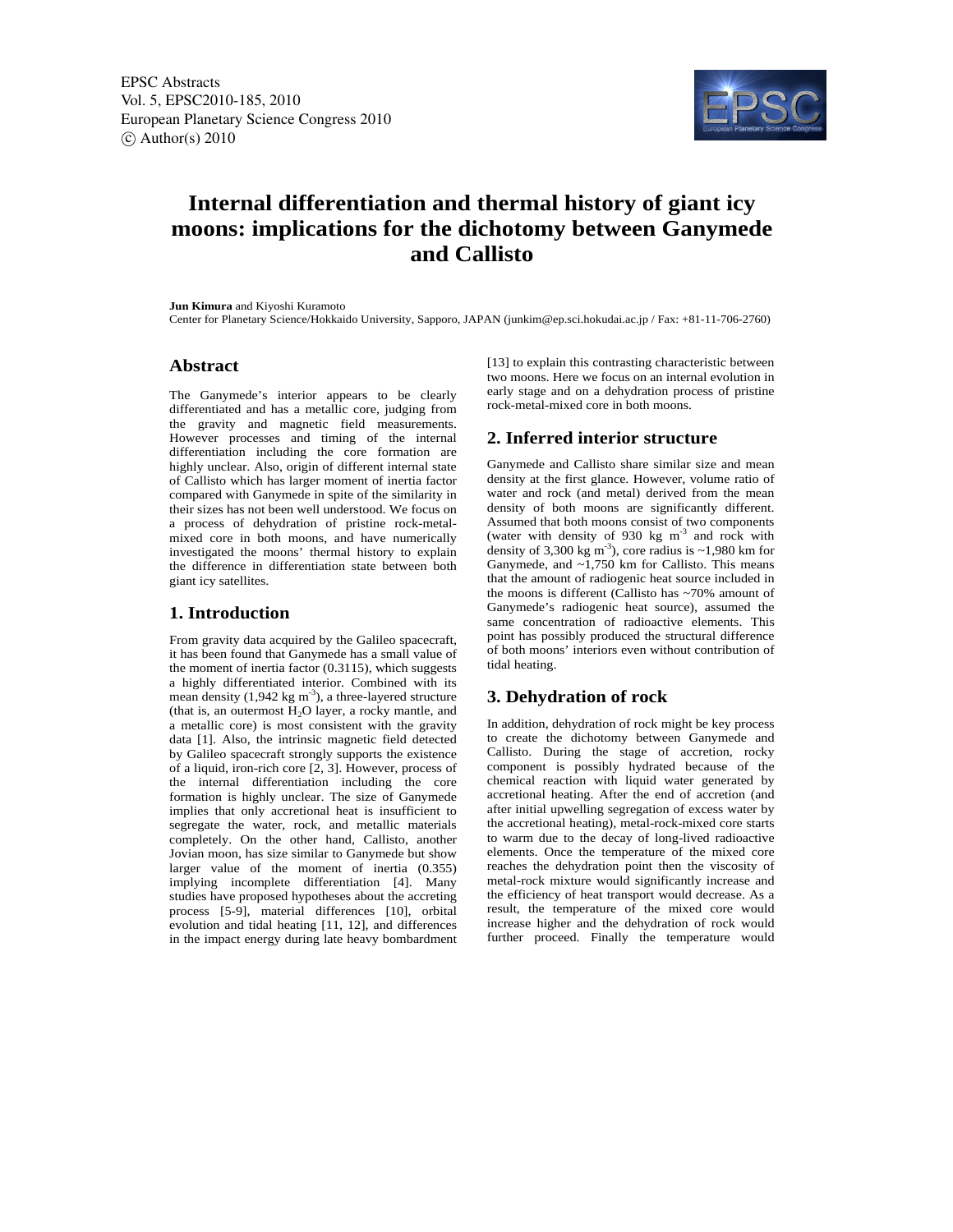

# **Internal differentiation and thermal history of giant icy moons: implications for the dichotomy between Ganymede and Callisto**

**Jun Kimura** and Kiyoshi Kuramoto

Center for Planetary Science/Hokkaido University, Sapporo, JAPAN (junkim@ep.sci.hokudai.ac.jp / Fax: +81-11-706-2760)

### **Abstract**

The Ganymede's interior appears to be clearly differentiated and has a metallic core, judging from the gravity and magnetic field measurements. However processes and timing of the internal differentiation including the core formation are highly unclear. Also, origin of different internal state of Callisto which has larger moment of inertia factor compared with Ganymede in spite of the similarity in their sizes has not been well understood. We focus on a process of dehydration of pristine rock-metalmixed core in both moons, and have numerically investigated the moons' thermal history to explain the difference in differentiation state between both giant icy satellites.

## **1. Introduction**

From gravity data acquired by the Galileo spacecraft, it has been found that Ganymede has a small value of the moment of inertia factor (0.3115), which suggests a highly differentiated interior. Combined with its mean density  $(1,942 \text{ kg m}^{-3})$ , a three-layered structure (that is, an outermost  $H_2O$  layer, a rocky mantle, and a metallic core) is most consistent with the gravity data [1]. Also, the intrinsic magnetic field detected by Galileo spacecraft strongly supports the existence of a liquid, iron-rich core [2, 3]. However, process of the internal differentiation including the core formation is highly unclear. The size of Ganymede implies that only accretional heat is insufficient to segregate the water, rock, and metallic materials completely. On the other hand, Callisto, another Jovian moon, has size similar to Ganymede but show larger value of the moment of inertia (0.355) implying incomplete differentiation [4]. Many studies have proposed hypotheses about the accreting process [5-9], material differences [10], orbital evolution and tidal heating [11, 12], and differences in the impact energy during late heavy bombardment

[13] to explain this contrasting characteristic between two moons. Here we focus on an internal evolution in early stage and on a dehydration process of pristine rock-metal-mixed core in both moons.

# **2. Inferred interior structure**

Ganymede and Callisto share similar size and mean density at the first glance. However, volume ratio of water and rock (and metal) derived from the mean density of both moons are significantly different. Assumed that both moons consist of two components (water with density of 930 kg  $m<sup>-3</sup>$  and rock with density of 3,300 kg m<sup>-3</sup>), core radius is  $\sim$ 1,980 km for Ganymede, and ~1,750 km for Callisto. This means that the amount of radiogenic heat source included in the moons is different (Callisto has ~70% amount of Ganymede's radiogenic heat source), assumed the same concentration of radioactive elements. This point has possibly produced the structural difference of both moons' interiors even without contribution of tidal heating.

# **3. Dehydration of rock**

In addition, dehydration of rock might be key process to create the dichotomy between Ganymede and Callisto. During the stage of accretion, rocky component is possibly hydrated because of the chemical reaction with liquid water generated by accretional heating. After the end of accretion (and after initial upwelling segregation of excess water by the accretional heating), metal-rock-mixed core starts to warm due to the decay of long-lived radioactive elements. Once the temperature of the mixed core reaches the dehydration point then the viscosity of metal-rock mixture would significantly increase and the efficiency of heat transport would decrease. As a result, the temperature of the mixed core would increase higher and the dehydration of rock would further proceed. Finally the temperature would